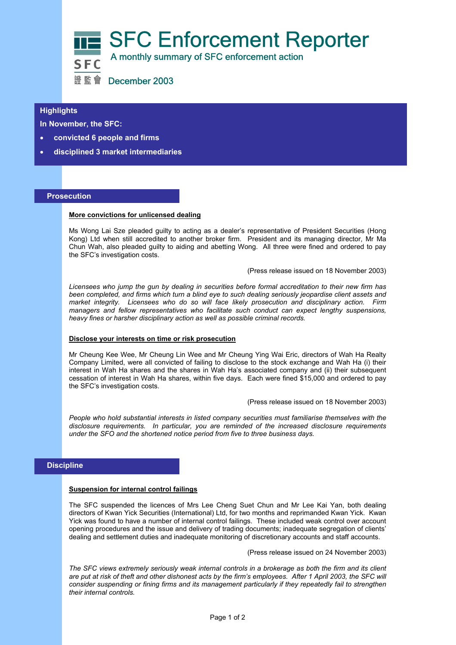

## **Highlights**

**In November, the SFC:** 

- **convicted 6 people and firms**
- l • **disciplined 3 market intermediaries**

## **Prosecution**

### **More convictions for unlicensed dealing**

Ms Wong Lai Sze pleaded guilty to acting as a dealer's representative of President Securities (Hong Kong) Ltd when still accredited to another broker firm. President and its managing director, Mr Ma Chun Wah, also pleaded guilty to aiding and abetting Wong. All three were fined and ordered to pay the SFC's investigation costs.

(Press release issued on 18 November 2003)

*Licensees who jump the gun by dealing in securities before formal accreditation to their new firm has been completed, and firms which turn a blind eye to such dealing seriously jeopardise client assets and market integrity. Licensees who do so will face likely prosecution and disciplinary action. Firm managers and fellow representatives who facilitate such conduct can expect lengthy suspensions, heavy fines or harsher disciplinary action as well as possible criminal records.* 

#### **Disclose your interests on time or risk prosecution**

Mr Cheung Kee Wee, Mr Cheung Lin Wee and Mr Cheung Ying Wai Eric, directors of Wah Ha Realty Company Limited, were all convicted of failing to disclose to the stock exchange and Wah Ha (i) their interest in Wah Ha shares and the shares in Wah Ha's associated company and (ii) their subsequent cessation of interest in Wah Ha shares, within five days. Each were fined \$15,000 and ordered to pay the SFC's investigation costs.

(Press release issued on 18 November 2003)

*People who hold substantial interests in listed company securities must familiarise themselves with the disclosure requirements. In particular, you are reminded of the increased disclosure requirements under the SFO and the shortened notice period from five to three business days.* 

# **Discipline**

#### **Suspension for internal control failings**

The SFC suspended the licences of Mrs Lee Cheng Suet Chun and Mr Lee Kai Yan, both dealing directors of Kwan Yick Securities (International) Ltd, for two months and reprimanded Kwan Yick. Kwan Yick was found to have a number of internal control failings. These included weak control over account opening procedures and the issue and delivery of trading documents; inadequate segregation of clients' dealing and settlement duties and inadequate monitoring of discretionary accounts and staff accounts.

(Press release issued on 24 November 2003)

*The SFC views extremely seriously weak internal controls in a brokerage as both the firm and its client are put at risk of theft and other dishonest acts by the firm's employees. After 1 April 2003, the SFC will consider suspending or fining firms and its management particularly if they repeatedly fail to strengthen their internal controls.*